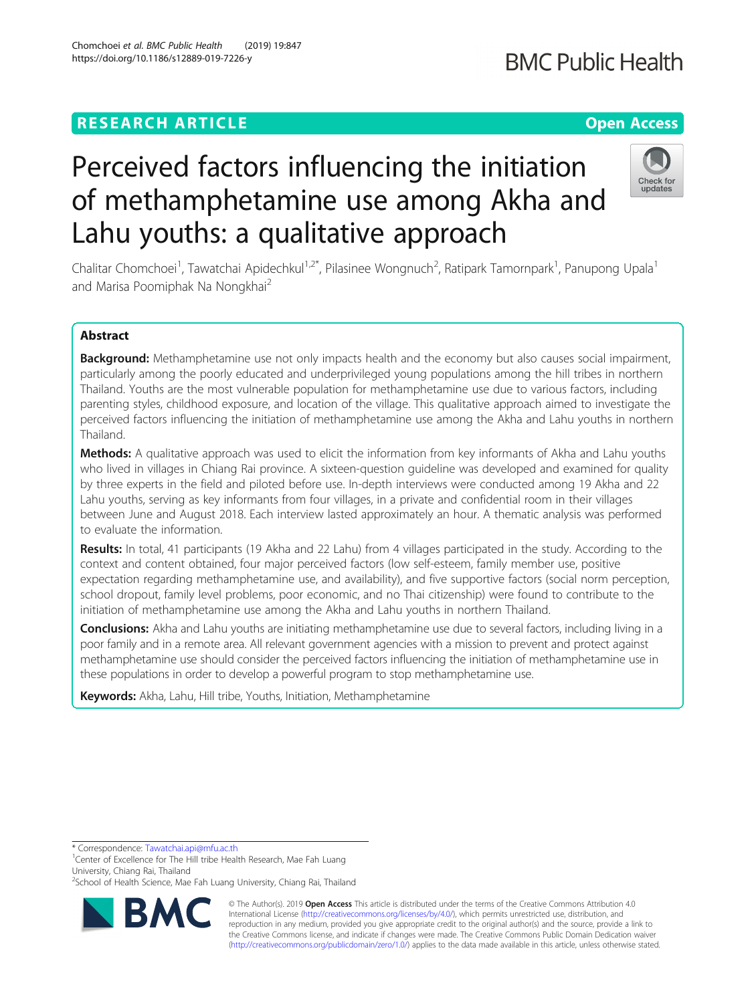# **RESEARCH ARTICLE Example 2014 12:30 The Open Access**

# Perceived factors influencing the initiation of methamphetamine use among Akha and Lahu youths: a qualitative approach

Chalitar Chomchoei<sup>1</sup>, Tawatchai Apidechkul<sup>1,2\*</sup>, Pilasinee Wongnuch<sup>2</sup>, Ratipark Tamornpark<sup>1</sup>, Panupong Upala<sup>1</sup> and Marisa Poomiphak Na Nongkhai<sup>2</sup>

# Abstract

Background: Methamphetamine use not only impacts health and the economy but also causes social impairment, particularly among the poorly educated and underprivileged young populations among the hill tribes in northern Thailand. Youths are the most vulnerable population for methamphetamine use due to various factors, including parenting styles, childhood exposure, and location of the village. This qualitative approach aimed to investigate the perceived factors influencing the initiation of methamphetamine use among the Akha and Lahu youths in northern Thailand.

**Methods:** A qualitative approach was used to elicit the information from key informants of Akha and Lahu youths who lived in villages in Chiang Rai province. A sixteen-question guideline was developed and examined for quality by three experts in the field and piloted before use. In-depth interviews were conducted among 19 Akha and 22 Lahu youths, serving as key informants from four villages, in a private and confidential room in their villages between June and August 2018. Each interview lasted approximately an hour. A thematic analysis was performed to evaluate the information.

Results: In total, 41 participants (19 Akha and 22 Lahu) from 4 villages participated in the study. According to the context and content obtained, four major perceived factors (low self-esteem, family member use, positive expectation regarding methamphetamine use, and availability), and five supportive factors (social norm perception, school dropout, family level problems, poor economic, and no Thai citizenship) were found to contribute to the initiation of methamphetamine use among the Akha and Lahu youths in northern Thailand.

Conclusions: Akha and Lahu youths are initiating methamphetamine use due to several factors, including living in a poor family and in a remote area. All relevant government agencies with a mission to prevent and protect against methamphetamine use should consider the perceived factors influencing the initiation of methamphetamine use in these populations in order to develop a powerful program to stop methamphetamine use.

Keywords: Akha, Lahu, Hill tribe, Youths, Initiation, Methamphetamine

\* Correspondence: [Tawatchai.api@mfu.ac.th](mailto:Tawatchai.api@mfu.ac.th) <sup>1</sup>

<sup>1</sup> Center of Excellence for The Hill tribe Health Research, Mae Fah Luang University, Chiang Rai, Thailand

© The Author(s). 2019 **Open Access** This article is distributed under the terms of the Creative Commons Attribution 4.0 International License [\(http://creativecommons.org/licenses/by/4.0/](http://creativecommons.org/licenses/by/4.0/)), which permits unrestricted use, distribution, and reproduction in any medium, provided you give appropriate credit to the original author(s) and the source, provide a link to the Creative Commons license, and indicate if changes were made. The Creative Commons Public Domain Dedication waiver [\(http://creativecommons.org/publicdomain/zero/1.0/](http://creativecommons.org/publicdomain/zero/1.0/)) applies to the data made available in this article, unless otherwise stated.





<sup>&</sup>lt;sup>2</sup>School of Health Science, Mae Fah Luang University, Chiang Rai, Thailand

Chomchoei et al. BMC Public Health (2019) 19:847 https://doi.org/10.1186/s12889-019-7226-y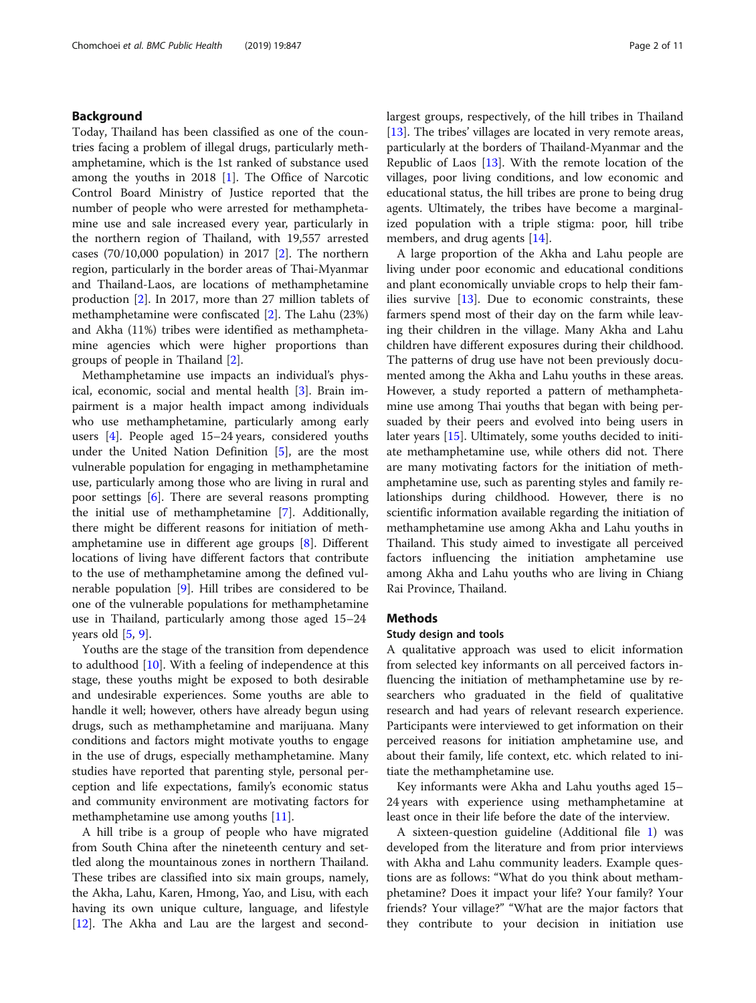# Background

Today, Thailand has been classified as one of the countries facing a problem of illegal drugs, particularly methamphetamine, which is the 1st ranked of substance used among the youths in 2018 [\[1\]](#page-9-0). The Office of Narcotic Control Board Ministry of Justice reported that the number of people who were arrested for methamphetamine use and sale increased every year, particularly in the northern region of Thailand, with 19,557 arrested cases (70/10,000 population) in 2017 [[2\]](#page-9-0). The northern region, particularly in the border areas of Thai-Myanmar and Thailand-Laos, are locations of methamphetamine production [[2](#page-9-0)]. In 2017, more than 27 million tablets of methamphetamine were confiscated [\[2\]](#page-9-0). The Lahu (23%) and Akha (11%) tribes were identified as methamphetamine agencies which were higher proportions than groups of people in Thailand [[2](#page-9-0)].

Methamphetamine use impacts an individual's physical, economic, social and mental health [\[3](#page-9-0)]. Brain impairment is a major health impact among individuals who use methamphetamine, particularly among early users [\[4](#page-9-0)]. People aged 15–24 years, considered youths under the United Nation Definition [\[5](#page-9-0)], are the most vulnerable population for engaging in methamphetamine use, particularly among those who are living in rural and poor settings [\[6\]](#page-9-0). There are several reasons prompting the initial use of methamphetamine [\[7](#page-9-0)]. Additionally, there might be different reasons for initiation of methamphetamine use in different age groups [\[8](#page-9-0)]. Different locations of living have different factors that contribute to the use of methamphetamine among the defined vulnerable population [\[9](#page-9-0)]. Hill tribes are considered to be one of the vulnerable populations for methamphetamine use in Thailand, particularly among those aged 15–24 years old [\[5](#page-9-0), [9](#page-9-0)].

Youths are the stage of the transition from dependence to adulthood  $[10]$  $[10]$ . With a feeling of independence at this stage, these youths might be exposed to both desirable and undesirable experiences. Some youths are able to handle it well; however, others have already begun using drugs, such as methamphetamine and marijuana. Many conditions and factors might motivate youths to engage in the use of drugs, especially methamphetamine. Many studies have reported that parenting style, personal perception and life expectations, family's economic status and community environment are motivating factors for methamphetamine use among youths [[11\]](#page-9-0).

A hill tribe is a group of people who have migrated from South China after the nineteenth century and settled along the mountainous zones in northern Thailand. These tribes are classified into six main groups, namely, the Akha, Lahu, Karen, Hmong, Yao, and Lisu, with each having its own unique culture, language, and lifestyle [[12\]](#page-9-0). The Akha and Lau are the largest and secondlargest groups, respectively, of the hill tribes in Thailand [[13\]](#page-9-0). The tribes' villages are located in very remote areas, particularly at the borders of Thailand-Myanmar and the Republic of Laos [[13](#page-9-0)]. With the remote location of the villages, poor living conditions, and low economic and educational status, the hill tribes are prone to being drug agents. Ultimately, the tribes have become a marginalized population with a triple stigma: poor, hill tribe members, and drug agents [[14\]](#page-9-0).

A large proportion of the Akha and Lahu people are living under poor economic and educational conditions and plant economically unviable crops to help their families survive [\[13](#page-9-0)]. Due to economic constraints, these farmers spend most of their day on the farm while leaving their children in the village. Many Akha and Lahu children have different exposures during their childhood. The patterns of drug use have not been previously documented among the Akha and Lahu youths in these areas. However, a study reported a pattern of methamphetamine use among Thai youths that began with being persuaded by their peers and evolved into being users in later years [[15\]](#page-9-0). Ultimately, some youths decided to initiate methamphetamine use, while others did not. There are many motivating factors for the initiation of methamphetamine use, such as parenting styles and family relationships during childhood. However, there is no scientific information available regarding the initiation of methamphetamine use among Akha and Lahu youths in Thailand. This study aimed to investigate all perceived factors influencing the initiation amphetamine use among Akha and Lahu youths who are living in Chiang Rai Province, Thailand.

# **Methods**

### Study design and tools

A qualitative approach was used to elicit information from selected key informants on all perceived factors influencing the initiation of methamphetamine use by researchers who graduated in the field of qualitative research and had years of relevant research experience. Participants were interviewed to get information on their perceived reasons for initiation amphetamine use, and about their family, life context, etc. which related to initiate the methamphetamine use.

Key informants were Akha and Lahu youths aged 15– 24 years with experience using methamphetamine at least once in their life before the date of the interview.

A sixteen-question guideline (Additional file [1\)](#page-8-0) was developed from the literature and from prior interviews with Akha and Lahu community leaders. Example questions are as follows: "What do you think about methamphetamine? Does it impact your life? Your family? Your friends? Your village?" "What are the major factors that they contribute to your decision in initiation use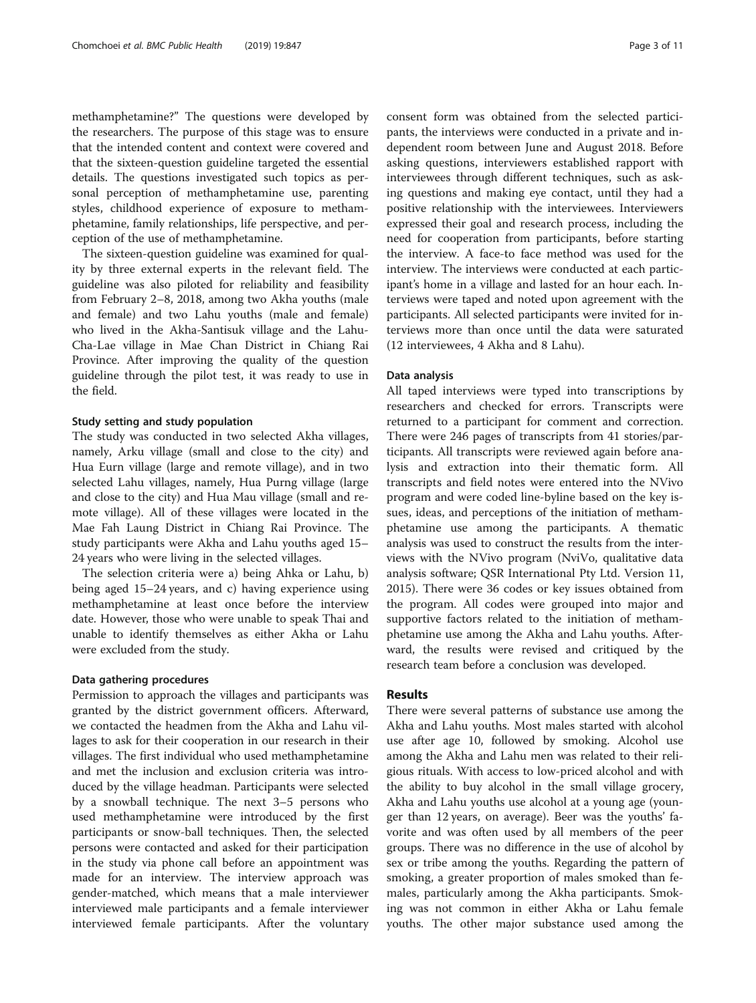methamphetamine?" The questions were developed by the researchers. The purpose of this stage was to ensure that the intended content and context were covered and that the sixteen-question guideline targeted the essential details. The questions investigated such topics as personal perception of methamphetamine use, parenting styles, childhood experience of exposure to methamphetamine, family relationships, life perspective, and perception of the use of methamphetamine.

The sixteen-question guideline was examined for quality by three external experts in the relevant field. The guideline was also piloted for reliability and feasibility from February 2–8, 2018, among two Akha youths (male and female) and two Lahu youths (male and female) who lived in the Akha-Santisuk village and the Lahu-Cha-Lae village in Mae Chan District in Chiang Rai Province. After improving the quality of the question guideline through the pilot test, it was ready to use in the field.

# Study setting and study population

The study was conducted in two selected Akha villages, namely, Arku village (small and close to the city) and Hua Eurn village (large and remote village), and in two selected Lahu villages, namely, Hua Purng village (large and close to the city) and Hua Mau village (small and remote village). All of these villages were located in the Mae Fah Laung District in Chiang Rai Province. The study participants were Akha and Lahu youths aged 15– 24 years who were living in the selected villages.

The selection criteria were a) being Ahka or Lahu, b) being aged 15–24 years, and c) having experience using methamphetamine at least once before the interview date. However, those who were unable to speak Thai and unable to identify themselves as either Akha or Lahu were excluded from the study.

# Data gathering procedures

Permission to approach the villages and participants was granted by the district government officers. Afterward, we contacted the headmen from the Akha and Lahu villages to ask for their cooperation in our research in their villages. The first individual who used methamphetamine and met the inclusion and exclusion criteria was introduced by the village headman. Participants were selected by a snowball technique. The next 3–5 persons who used methamphetamine were introduced by the first participants or snow-ball techniques. Then, the selected persons were contacted and asked for their participation in the study via phone call before an appointment was made for an interview. The interview approach was gender-matched, which means that a male interviewer interviewed male participants and a female interviewer interviewed female participants. After the voluntary consent form was obtained from the selected participants, the interviews were conducted in a private and independent room between June and August 2018. Before asking questions, interviewers established rapport with interviewees through different techniques, such as asking questions and making eye contact, until they had a positive relationship with the interviewees. Interviewers expressed their goal and research process, including the need for cooperation from participants, before starting the interview. A face-to face method was used for the interview. The interviews were conducted at each participant's home in a village and lasted for an hour each. Interviews were taped and noted upon agreement with the participants. All selected participants were invited for interviews more than once until the data were saturated (12 interviewees, 4 Akha and 8 Lahu).

#### Data analysis

All taped interviews were typed into transcriptions by researchers and checked for errors. Transcripts were returned to a participant for comment and correction. There were 246 pages of transcripts from 41 stories/participants. All transcripts were reviewed again before analysis and extraction into their thematic form. All transcripts and field notes were entered into the NVivo program and were coded line-byline based on the key issues, ideas, and perceptions of the initiation of methamphetamine use among the participants. A thematic analysis was used to construct the results from the interviews with the NVivo program (NviVo, qualitative data analysis software; QSR International Pty Ltd. Version 11, 2015). There were 36 codes or key issues obtained from the program. All codes were grouped into major and supportive factors related to the initiation of methamphetamine use among the Akha and Lahu youths. Afterward, the results were revised and critiqued by the research team before a conclusion was developed.

# Results

There were several patterns of substance use among the Akha and Lahu youths. Most males started with alcohol use after age 10, followed by smoking. Alcohol use among the Akha and Lahu men was related to their religious rituals. With access to low-priced alcohol and with the ability to buy alcohol in the small village grocery, Akha and Lahu youths use alcohol at a young age (younger than 12 years, on average). Beer was the youths' favorite and was often used by all members of the peer groups. There was no difference in the use of alcohol by sex or tribe among the youths. Regarding the pattern of smoking, a greater proportion of males smoked than females, particularly among the Akha participants. Smoking was not common in either Akha or Lahu female youths. The other major substance used among the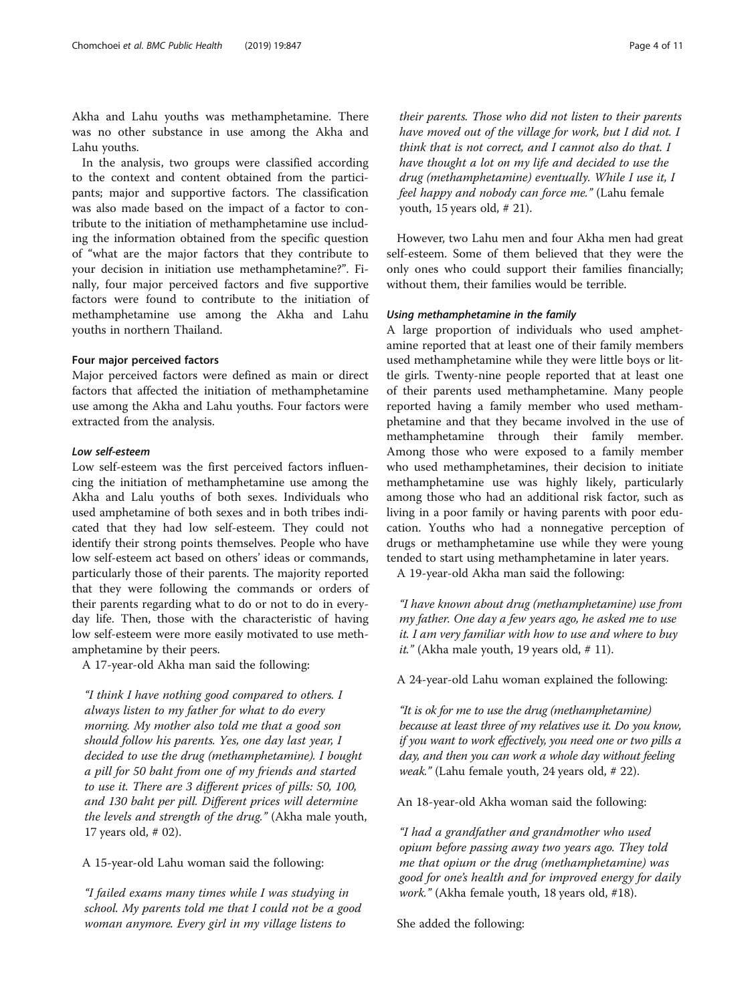Akha and Lahu youths was methamphetamine. There was no other substance in use among the Akha and Lahu youths.

In the analysis, two groups were classified according to the context and content obtained from the participants; major and supportive factors. The classification was also made based on the impact of a factor to contribute to the initiation of methamphetamine use including the information obtained from the specific question of "what are the major factors that they contribute to your decision in initiation use methamphetamine?". Finally, four major perceived factors and five supportive factors were found to contribute to the initiation of methamphetamine use among the Akha and Lahu youths in northern Thailand.

# Four major perceived factors

Major perceived factors were defined as main or direct factors that affected the initiation of methamphetamine use among the Akha and Lahu youths. Four factors were extracted from the analysis.

# Low self-esteem

Low self-esteem was the first perceived factors influencing the initiation of methamphetamine use among the Akha and Lalu youths of both sexes. Individuals who used amphetamine of both sexes and in both tribes indicated that they had low self-esteem. They could not identify their strong points themselves. People who have low self-esteem act based on others' ideas or commands, particularly those of their parents. The majority reported that they were following the commands or orders of their parents regarding what to do or not to do in everyday life. Then, those with the characteristic of having low self-esteem were more easily motivated to use methamphetamine by their peers.

A 17-year-old Akha man said the following:

"I think I have nothing good compared to others. I always listen to my father for what to do every morning. My mother also told me that a good son should follow his parents. Yes, one day last year, I decided to use the drug (methamphetamine). I bought a pill for 50 baht from one of my friends and started to use it. There are 3 different prices of pills: 50, 100, and 130 baht per pill. Different prices will determine the levels and strength of the drug." (Akha male youth, 17 years old, # 02).

A 15-year-old Lahu woman said the following:

"I failed exams many times while I was studying in school. My parents told me that I could not be a good woman anymore. Every girl in my village listens to

their parents. Those who did not listen to their parents have moved out of the village for work, but I did not. I think that is not correct, and I cannot also do that. I have thought a lot on my life and decided to use the drug (methamphetamine) eventually. While I use it, I feel happy and nobody can force me." (Lahu female youth, 15 years old, # 21).

However, two Lahu men and four Akha men had great self-esteem. Some of them believed that they were the only ones who could support their families financially; without them, their families would be terrible.

# Using methamphetamine in the family

A large proportion of individuals who used amphetamine reported that at least one of their family members used methamphetamine while they were little boys or little girls. Twenty-nine people reported that at least one of their parents used methamphetamine. Many people reported having a family member who used methamphetamine and that they became involved in the use of methamphetamine through their family member. Among those who were exposed to a family member who used methamphetamines, their decision to initiate methamphetamine use was highly likely, particularly among those who had an additional risk factor, such as living in a poor family or having parents with poor education. Youths who had a nonnegative perception of drugs or methamphetamine use while they were young tended to start using methamphetamine in later years.

A 19-year-old Akha man said the following:

"I have known about drug (methamphetamine) use from my father. One day a few years ago, he asked me to use it. I am very familiar with how to use and where to buy it." (Akha male youth, 19 years old,  $# 11$ ).

A 24-year-old Lahu woman explained the following:

"It is ok for me to use the drug (methamphetamine) because at least three of my relatives use it. Do you know, if you want to work effectively, you need one or two pills a day, and then you can work a whole day without feeling weak." (Lahu female youth, 24 years old, # 22).

An 18-year-old Akha woman said the following:

"I had a grandfather and grandmother who used opium before passing away two years ago. They told me that opium or the drug (methamphetamine) was good for one's health and for improved energy for daily work." (Akha female youth, 18 years old, #18).

She added the following: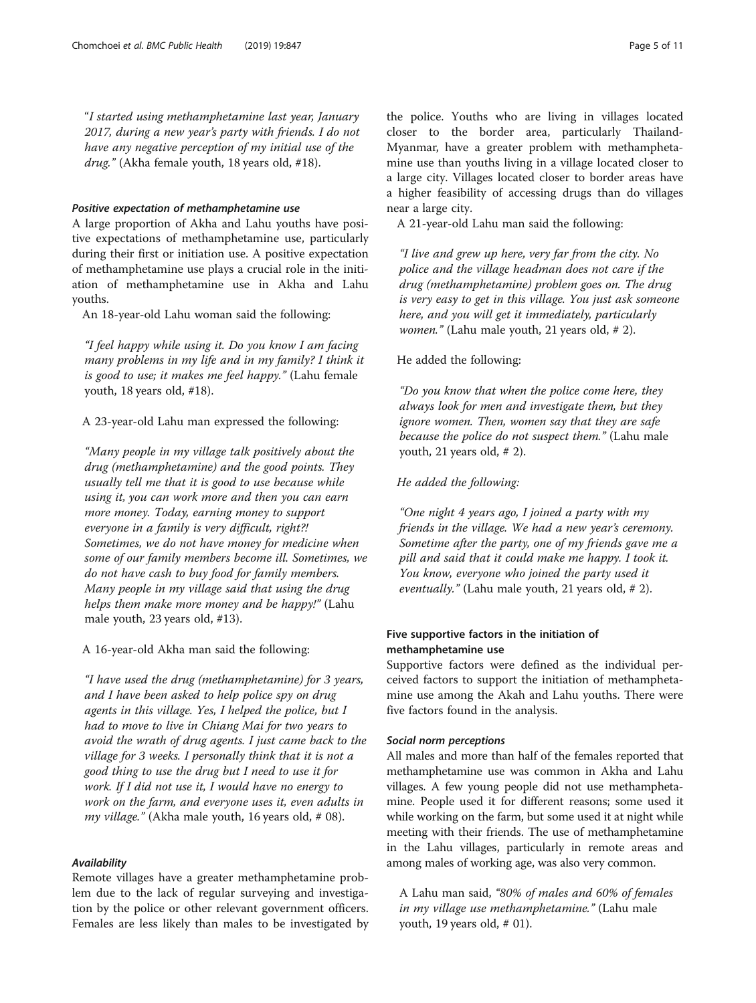"I started using methamphetamine last year, January 2017, during a new year's party with friends. I do not have any negative perception of my initial use of the drug." (Akha female youth, 18 years old, #18).

# Positive expectation of methamphetamine use

A large proportion of Akha and Lahu youths have positive expectations of methamphetamine use, particularly during their first or initiation use. A positive expectation of methamphetamine use plays a crucial role in the initiation of methamphetamine use in Akha and Lahu youths.

An 18-year-old Lahu woman said the following:

"I feel happy while using it. Do you know I am facing many problems in my life and in my family? I think it is good to use; it makes me feel happy." (Lahu female youth, 18 years old, #18).

# A 23-year-old Lahu man expressed the following:

"Many people in my village talk positively about the drug (methamphetamine) and the good points. They usually tell me that it is good to use because while using it, you can work more and then you can earn more money. Today, earning money to support everyone in a family is very difficult, right?! Sometimes, we do not have money for medicine when some of our family members become ill. Sometimes, we do not have cash to buy food for family members. Many people in my village said that using the drug helps them make more money and be happy!" (Lahu male youth, 23 years old, #13).

A 16-year-old Akha man said the following:

"I have used the drug (methamphetamine) for 3 years, and I have been asked to help police spy on drug agents in this village. Yes, I helped the police, but I had to move to live in Chiang Mai for two years to avoid the wrath of drug agents. I just came back to the village for 3 weeks. I personally think that it is not a good thing to use the drug but I need to use it for work. If I did not use it, I would have no energy to work on the farm, and everyone uses it, even adults in my village." (Akha male youth, 16 years old, # 08).

# Availability

Remote villages have a greater methamphetamine problem due to the lack of regular surveying and investigation by the police or other relevant government officers. Females are less likely than males to be investigated by the police. Youths who are living in villages located closer to the border area, particularly Thailand-Myanmar, have a greater problem with methamphetamine use than youths living in a village located closer to a large city. Villages located closer to border areas have a higher feasibility of accessing drugs than do villages near a large city.

A 21-year-old Lahu man said the following:

"I live and grew up here, very far from the city. No police and the village headman does not care if the drug (methamphetamine) problem goes on. The drug is very easy to get in this village. You just ask someone here, and you will get it immediately, particularly women." (Lahu male youth, 21 years old, # 2).

# He added the following:

"Do you know that when the police come here, they always look for men and investigate them, but they ignore women. Then, women say that they are safe because the police do not suspect them." (Lahu male youth, 21 years old, # 2).

# He added the following:

"One night 4 years ago, I joined a party with my friends in the village. We had a new year's ceremony. Sometime after the party, one of my friends gave me a pill and said that it could make me happy. I took it. You know, everyone who joined the party used it eventually." (Lahu male youth, 21 years old,  $# 2$ ).

# Five supportive factors in the initiation of methamphetamine use

Supportive factors were defined as the individual perceived factors to support the initiation of methamphetamine use among the Akah and Lahu youths. There were five factors found in the analysis.

# Social norm perceptions

All males and more than half of the females reported that methamphetamine use was common in Akha and Lahu villages. A few young people did not use methamphetamine. People used it for different reasons; some used it while working on the farm, but some used it at night while meeting with their friends. The use of methamphetamine in the Lahu villages, particularly in remote areas and among males of working age, was also very common.

A Lahu man said, "80% of males and 60% of females in my village use methamphetamine." (Lahu male youth, 19 years old, # 01).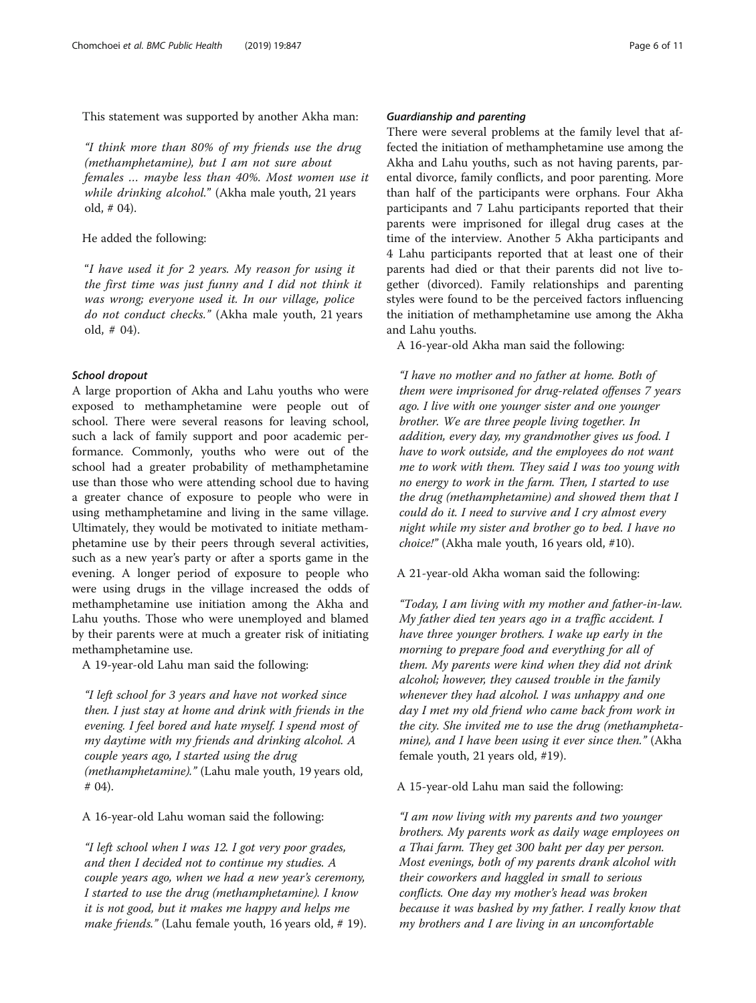This statement was supported by another Akha man:

"I think more than 80% of my friends use the drug (methamphetamine), but I am not sure about females … maybe less than 40%. Most women use it while drinking alcohol." (Akha male youth, 21 years old, # 04).

# He added the following:

"I have used it for 2 years. My reason for using it the first time was just funny and I did not think it was wrong; everyone used it. In our village, police do not conduct checks." (Akha male youth, 21 years old, # 04).

# School dropout

A large proportion of Akha and Lahu youths who were exposed to methamphetamine were people out of school. There were several reasons for leaving school, such a lack of family support and poor academic performance. Commonly, youths who were out of the school had a greater probability of methamphetamine use than those who were attending school due to having a greater chance of exposure to people who were in using methamphetamine and living in the same village. Ultimately, they would be motivated to initiate methamphetamine use by their peers through several activities, such as a new year's party or after a sports game in the evening. A longer period of exposure to people who were using drugs in the village increased the odds of methamphetamine use initiation among the Akha and Lahu youths. Those who were unemployed and blamed by their parents were at much a greater risk of initiating methamphetamine use.

A 19-year-old Lahu man said the following:

"I left school for 3 years and have not worked since then. I just stay at home and drink with friends in the evening. I feel bored and hate myself. I spend most of my daytime with my friends and drinking alcohol. A couple years ago, I started using the drug (methamphetamine)." (Lahu male youth, 19 years old, # 04).

A 16-year-old Lahu woman said the following:

"I left school when I was 12. I got very poor grades, and then I decided not to continue my studies. A couple years ago, when we had a new year's ceremony, I started to use the drug (methamphetamine). I know it is not good, but it makes me happy and helps me make friends." (Lahu female youth, 16 years old, #19).

# Guardianship and parenting

There were several problems at the family level that affected the initiation of methamphetamine use among the Akha and Lahu youths, such as not having parents, parental divorce, family conflicts, and poor parenting. More than half of the participants were orphans. Four Akha participants and 7 Lahu participants reported that their parents were imprisoned for illegal drug cases at the time of the interview. Another 5 Akha participants and 4 Lahu participants reported that at least one of their parents had died or that their parents did not live together (divorced). Family relationships and parenting styles were found to be the perceived factors influencing the initiation of methamphetamine use among the Akha and Lahu youths.

A 16-year-old Akha man said the following:

"I have no mother and no father at home. Both of them were imprisoned for drug-related offenses 7 years ago. I live with one younger sister and one younger brother. We are three people living together. In addition, every day, my grandmother gives us food. I have to work outside, and the employees do not want me to work with them. They said I was too young with no energy to work in the farm. Then, I started to use the drug (methamphetamine) and showed them that I could do it. I need to survive and I cry almost every night while my sister and brother go to bed. I have no choice!" (Akha male youth, 16 years old, #10).

# A 21-year-old Akha woman said the following:

"Today, I am living with my mother and father-in-law. My father died ten years ago in a traffic accident. I have three younger brothers. I wake up early in the morning to prepare food and everything for all of them. My parents were kind when they did not drink alcohol; however, they caused trouble in the family whenever they had alcohol. I was unhappy and one day I met my old friend who came back from work in the city. She invited me to use the drug (methamphetamine), and I have been using it ever since then." (Akha female youth, 21 years old, #19).

# A 15-year-old Lahu man said the following:

"I am now living with my parents and two younger brothers. My parents work as daily wage employees on a Thai farm. They get 300 baht per day per person. Most evenings, both of my parents drank alcohol with their coworkers and haggled in small to serious conflicts. One day my mother's head was broken because it was bashed by my father. I really know that my brothers and I are living in an uncomfortable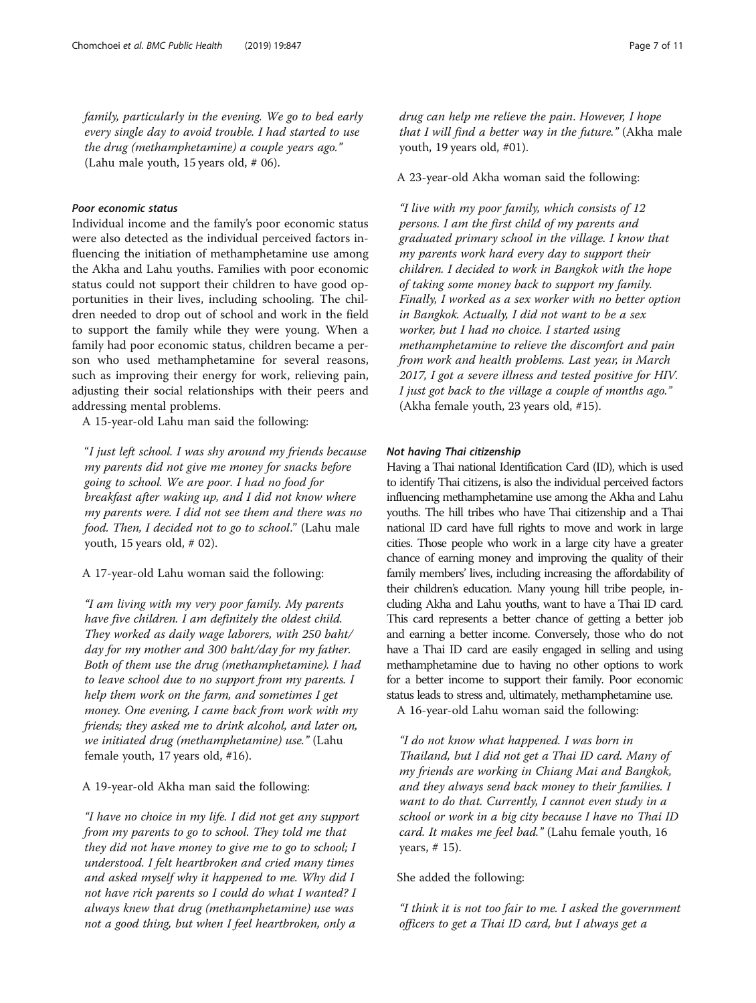family, particularly in the evening. We go to bed early every single day to avoid trouble. I had started to use the drug (methamphetamine) a couple years ago." (Lahu male youth, 15 years old, # 06).

# Poor economic status

Individual income and the family's poor economic status were also detected as the individual perceived factors influencing the initiation of methamphetamine use among the Akha and Lahu youths. Families with poor economic status could not support their children to have good opportunities in their lives, including schooling. The children needed to drop out of school and work in the field to support the family while they were young. When a family had poor economic status, children became a person who used methamphetamine for several reasons, such as improving their energy for work, relieving pain, adjusting their social relationships with their peers and addressing mental problems.

A 15-year-old Lahu man said the following:

"I just left school. I was shy around my friends because my parents did not give me money for snacks before going to school. We are poor. I had no food for breakfast after waking up, and I did not know where my parents were. I did not see them and there was no food. Then, I decided not to go to school." (Lahu male youth, 15 years old, # 02).

A 17-year-old Lahu woman said the following:

"I am living with my very poor family. My parents have five children. I am definitely the oldest child. They worked as daily wage laborers, with 250 baht/ day for my mother and 300 baht/day for my father. Both of them use the drug (methamphetamine). I had to leave school due to no support from my parents. I help them work on the farm, and sometimes I get money. One evening, I came back from work with my friends; they asked me to drink alcohol, and later on, we initiated drug (methamphetamine) use." (Lahu female youth, 17 years old, #16).

# A 19-year-old Akha man said the following:

"I have no choice in my life. I did not get any support from my parents to go to school. They told me that they did not have money to give me to go to school; I understood. I felt heartbroken and cried many times and asked myself why it happened to me. Why did I not have rich parents so I could do what I wanted? I always knew that drug (methamphetamine) use was not a good thing, but when I feel heartbroken, only a

drug can help me relieve the pain. However, I hope that I will find a better way in the future." (Akha male youth, 19 years old, #01).

# A 23-year-old Akha woman said the following:

"I live with my poor family, which consists of 12 persons. I am the first child of my parents and graduated primary school in the village. I know that my parents work hard every day to support their children. I decided to work in Bangkok with the hope of taking some money back to support my family. Finally, I worked as a sex worker with no better option in Bangkok. Actually, I did not want to be a sex worker, but I had no choice. I started using methamphetamine to relieve the discomfort and pain from work and health problems. Last year, in March 2017, I got a severe illness and tested positive for HIV. I just got back to the village a couple of months ago." (Akha female youth, 23 years old, #15).

# Not having Thai citizenship

Having a Thai national Identification Card (ID), which is used to identify Thai citizens, is also the individual perceived factors influencing methamphetamine use among the Akha and Lahu youths. The hill tribes who have Thai citizenship and a Thai national ID card have full rights to move and work in large cities. Those people who work in a large city have a greater chance of earning money and improving the quality of their family members' lives, including increasing the affordability of their children's education. Many young hill tribe people, including Akha and Lahu youths, want to have a Thai ID card. This card represents a better chance of getting a better job and earning a better income. Conversely, those who do not have a Thai ID card are easily engaged in selling and using methamphetamine due to having no other options to work for a better income to support their family. Poor economic status leads to stress and, ultimately, methamphetamine use. A 16-year-old Lahu woman said the following:

"I do not know what happened. I was born in Thailand, but I did not get a Thai ID card. Many of my friends are working in Chiang Mai and Bangkok, and they always send back money to their families. I want to do that. Currently, I cannot even study in a school or work in a big city because I have no Thai ID card. It makes me feel bad." (Lahu female youth, 16

### She added the following:

years, # 15).

"I think it is not too fair to me. I asked the government officers to get a Thai ID card, but I always get a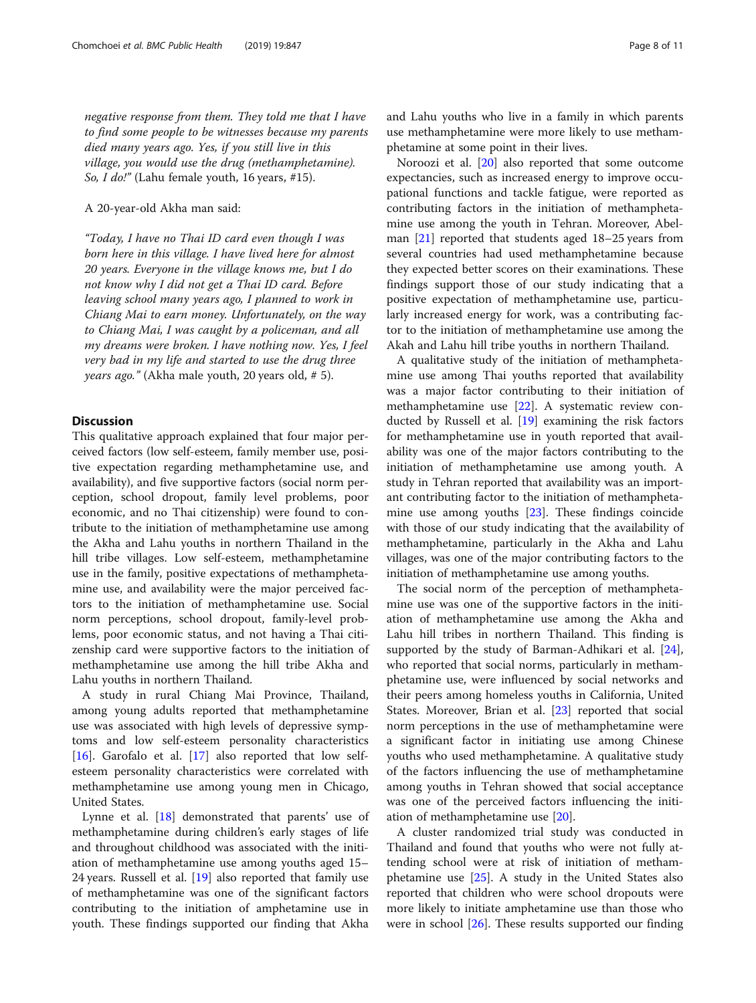negative response from them. They told me that I have to find some people to be witnesses because my parents died many years ago. Yes, if you still live in this village, you would use the drug (methamphetamine). So, I do!" (Lahu female youth, 16 years, #15).

### A 20-year-old Akha man said:

"Today, I have no Thai ID card even though I was born here in this village. I have lived here for almost 20 years. Everyone in the village knows me, but I do not know why I did not get a Thai ID card. Before leaving school many years ago, I planned to work in Chiang Mai to earn money. Unfortunately, on the way to Chiang Mai, I was caught by a policeman, and all my dreams were broken. I have nothing now. Yes, I feel very bad in my life and started to use the drug three years ago." (Akha male youth, 20 years old, # 5).

# **Discussion**

This qualitative approach explained that four major perceived factors (low self-esteem, family member use, positive expectation regarding methamphetamine use, and availability), and five supportive factors (social norm perception, school dropout, family level problems, poor economic, and no Thai citizenship) were found to contribute to the initiation of methamphetamine use among the Akha and Lahu youths in northern Thailand in the hill tribe villages. Low self-esteem, methamphetamine use in the family, positive expectations of methamphetamine use, and availability were the major perceived factors to the initiation of methamphetamine use. Social norm perceptions, school dropout, family-level problems, poor economic status, and not having a Thai citizenship card were supportive factors to the initiation of methamphetamine use among the hill tribe Akha and Lahu youths in northern Thailand.

A study in rural Chiang Mai Province, Thailand, among young adults reported that methamphetamine use was associated with high levels of depressive symptoms and low self-esteem personality characteristics [[16\]](#page-9-0). Garofalo et al. [[17\]](#page-9-0) also reported that low selfesteem personality characteristics were correlated with methamphetamine use among young men in Chicago, United States.

Lynne et al. [\[18](#page-9-0)] demonstrated that parents' use of methamphetamine during children's early stages of life and throughout childhood was associated with the initiation of methamphetamine use among youths aged 15– 24 years. Russell et al. [\[19\]](#page-9-0) also reported that family use of methamphetamine was one of the significant factors contributing to the initiation of amphetamine use in youth. These findings supported our finding that Akha and Lahu youths who live in a family in which parents use methamphetamine were more likely to use methamphetamine at some point in their lives.

Noroozi et al. [\[20](#page-9-0)] also reported that some outcome expectancies, such as increased energy to improve occupational functions and tackle fatigue, were reported as contributing factors in the initiation of methamphetamine use among the youth in Tehran. Moreover, Abelman [[21\]](#page-9-0) reported that students aged 18–25 years from several countries had used methamphetamine because they expected better scores on their examinations. These findings support those of our study indicating that a positive expectation of methamphetamine use, particularly increased energy for work, was a contributing factor to the initiation of methamphetamine use among the Akah and Lahu hill tribe youths in northern Thailand.

A qualitative study of the initiation of methamphetamine use among Thai youths reported that availability was a major factor contributing to their initiation of methamphetamine use [\[22](#page-9-0)]. A systematic review conducted by Russell et al. [\[19](#page-9-0)] examining the risk factors for methamphetamine use in youth reported that availability was one of the major factors contributing to the initiation of methamphetamine use among youth. A study in Tehran reported that availability was an important contributing factor to the initiation of methamphetamine use among youths [\[23](#page-9-0)]. These findings coincide with those of our study indicating that the availability of methamphetamine, particularly in the Akha and Lahu villages, was one of the major contributing factors to the initiation of methamphetamine use among youths.

The social norm of the perception of methamphetamine use was one of the supportive factors in the initiation of methamphetamine use among the Akha and Lahu hill tribes in northern Thailand. This finding is supported by the study of Barman-Adhikari et al. [\[24](#page-9-0)], who reported that social norms, particularly in methamphetamine use, were influenced by social networks and their peers among homeless youths in California, United States. Moreover, Brian et al. [[23](#page-9-0)] reported that social norm perceptions in the use of methamphetamine were a significant factor in initiating use among Chinese youths who used methamphetamine. A qualitative study of the factors influencing the use of methamphetamine among youths in Tehran showed that social acceptance was one of the perceived factors influencing the initiation of methamphetamine use [\[20](#page-9-0)].

A cluster randomized trial study was conducted in Thailand and found that youths who were not fully attending school were at risk of initiation of methamphetamine use [[25](#page-9-0)]. A study in the United States also reported that children who were school dropouts were more likely to initiate amphetamine use than those who were in school [[26](#page-9-0)]. These results supported our finding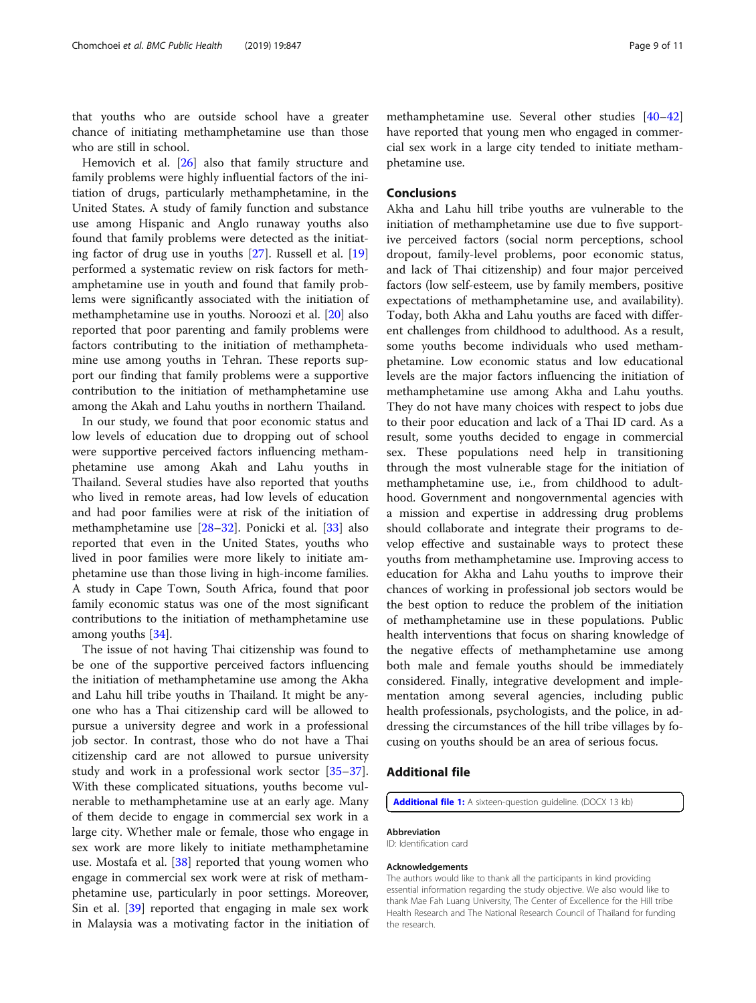<span id="page-8-0"></span>that youths who are outside school have a greater chance of initiating methamphetamine use than those who are still in school.

Hemovich et al. [\[26](#page-9-0)] also that family structure and family problems were highly influential factors of the initiation of drugs, particularly methamphetamine, in the United States. A study of family function and substance use among Hispanic and Anglo runaway youths also found that family problems were detected as the initiating factor of drug use in youths [[27\]](#page-9-0). Russell et al. [[19](#page-9-0)] performed a systematic review on risk factors for methamphetamine use in youth and found that family problems were significantly associated with the initiation of methamphetamine use in youths. Noroozi et al. [[20](#page-9-0)] also reported that poor parenting and family problems were factors contributing to the initiation of methamphetamine use among youths in Tehran. These reports support our finding that family problems were a supportive contribution to the initiation of methamphetamine use among the Akah and Lahu youths in northern Thailand.

In our study, we found that poor economic status and low levels of education due to dropping out of school were supportive perceived factors influencing methamphetamine use among Akah and Lahu youths in Thailand. Several studies have also reported that youths who lived in remote areas, had low levels of education and had poor families were at risk of the initiation of methamphetamine use [[28](#page-10-0)–[32](#page-10-0)]. Ponicki et al. [\[33](#page-10-0)] also reported that even in the United States, youths who lived in poor families were more likely to initiate amphetamine use than those living in high-income families. A study in Cape Town, South Africa, found that poor family economic status was one of the most significant contributions to the initiation of methamphetamine use among youths [[34](#page-10-0)].

The issue of not having Thai citizenship was found to be one of the supportive perceived factors influencing the initiation of methamphetamine use among the Akha and Lahu hill tribe youths in Thailand. It might be anyone who has a Thai citizenship card will be allowed to pursue a university degree and work in a professional job sector. In contrast, those who do not have a Thai citizenship card are not allowed to pursue university study and work in a professional work sector [[35](#page-10-0)–[37](#page-10-0)]. With these complicated situations, youths become vulnerable to methamphetamine use at an early age. Many of them decide to engage in commercial sex work in a large city. Whether male or female, those who engage in sex work are more likely to initiate methamphetamine use. Mostafa et al. [\[38\]](#page-10-0) reported that young women who engage in commercial sex work were at risk of methamphetamine use, particularly in poor settings. Moreover, Sin et al. [\[39](#page-10-0)] reported that engaging in male sex work in Malaysia was a motivating factor in the initiation of

methamphetamine use. Several other studies [[40](#page-10-0)–[42](#page-10-0)] have reported that young men who engaged in commercial sex work in a large city tended to initiate methamphetamine use.

# **Conclusions**

Akha and Lahu hill tribe youths are vulnerable to the initiation of methamphetamine use due to five supportive perceived factors (social norm perceptions, school dropout, family-level problems, poor economic status, and lack of Thai citizenship) and four major perceived factors (low self-esteem, use by family members, positive expectations of methamphetamine use, and availability). Today, both Akha and Lahu youths are faced with different challenges from childhood to adulthood. As a result, some youths become individuals who used methamphetamine. Low economic status and low educational levels are the major factors influencing the initiation of methamphetamine use among Akha and Lahu youths. They do not have many choices with respect to jobs due to their poor education and lack of a Thai ID card. As a result, some youths decided to engage in commercial sex. These populations need help in transitioning through the most vulnerable stage for the initiation of methamphetamine use, i.e., from childhood to adulthood. Government and nongovernmental agencies with a mission and expertise in addressing drug problems should collaborate and integrate their programs to develop effective and sustainable ways to protect these youths from methamphetamine use. Improving access to education for Akha and Lahu youths to improve their chances of working in professional job sectors would be the best option to reduce the problem of the initiation of methamphetamine use in these populations. Public health interventions that focus on sharing knowledge of the negative effects of methamphetamine use among both male and female youths should be immediately considered. Finally, integrative development and implementation among several agencies, including public health professionals, psychologists, and the police, in addressing the circumstances of the hill tribe villages by focusing on youths should be an area of serious focus.

# Additional file

[Additional file 1:](https://doi.org/10.1186/s12889-019-7226-y) A sixteen-question guideline. (DOCX 13 kb)

# Abbreviation

ID: Identification card

#### Acknowledgements

The authors would like to thank all the participants in kind providing essential information regarding the study objective. We also would like to thank Mae Fah Luang University, The Center of Excellence for the Hill tribe Health Research and The National Research Council of Thailand for funding the research.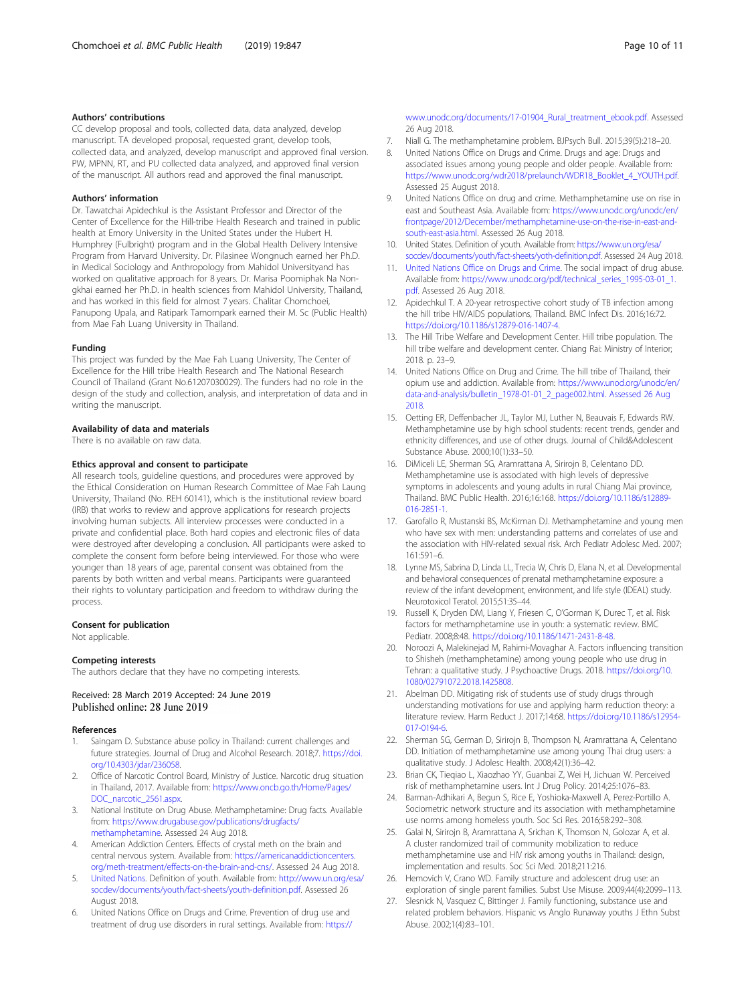# <span id="page-9-0"></span>Authors' contributions

CC develop proposal and tools, collected data, data analyzed, develop manuscript. TA developed proposal, requested grant, develop tools, collected data, and analyzed, develop manuscript and approved final version. PW, MPNN, RT, and PU collected data analyzed, and approved final version of the manuscript. All authors read and approved the final manuscript.

### Authors' information

Dr. Tawatchai Apidechkul is the Assistant Professor and Director of the Center of Excellence for the Hill-tribe Health Research and trained in public health at Emory University in the United States under the Hubert H. Humphrey (Fulbright) program and in the Global Health Delivery Intensive Program from Harvard University. Dr. Pilasinee Wongnuch earned her Ph.D. in Medical Sociology and Anthropology from Mahidol Universityand has worked on qualitative approach for 8 years. Dr. Marisa Poomiphak Na Nongkhai earned her Ph.D. in health sciences from Mahidol University, Thailand, and has worked in this field for almost 7 years. Chalitar Chomchoei, Panupong Upala, and Ratipark Tamornpark earned their M. Sc (Public Health) from Mae Fah Luang University in Thailand.

#### Funding

This project was funded by the Mae Fah Luang University, The Center of Excellence for the Hill tribe Health Research and The National Research Council of Thailand (Grant No.61207030029). The funders had no role in the design of the study and collection, analysis, and interpretation of data and in writing the manuscript.

#### Availability of data and materials

There is no available on raw data.

#### Ethics approval and consent to participate

All research tools, guideline questions, and procedures were approved by the Ethical Consideration on Human Research Committee of Mae Fah Laung University, Thailand (No. REH 60141), which is the institutional review board (IRB) that works to review and approve applications for research projects involving human subjects. All interview processes were conducted in a private and confidential place. Both hard copies and electronic files of data were destroyed after developing a conclusion. All participants were asked to complete the consent form before being interviewed. For those who were younger than 18 years of age, parental consent was obtained from the parents by both written and verbal means. Participants were guaranteed their rights to voluntary participation and freedom to withdraw during the process.

#### Consent for publication

Not applicable.

#### Competing interests

The authors declare that they have no competing interests.

#### Received: 28 March 2019 Accepted: 24 June 2019 Published online: 28 June 2019

#### References

- Saingam D. Substance abuse policy in Thailand: current challenges and future strategies. Journal of Drug and Alcohol Research. 2018;7. [https://doi.](https://doi.org/10.4303/jdar/236058) [org/10.4303/jdar/236058.](https://doi.org/10.4303/jdar/236058)
- 2. Office of Narcotic Control Board, Ministry of Justice. Narcotic drug situation in Thailand, 2017. Available from: [https://www.oncb.go.th/Home/Pages/](https://www.oncb.go.th/Home/Pages/DOC_narcotic_2561.aspx) [DOC\\_narcotic\\_2561.aspx](https://www.oncb.go.th/Home/Pages/DOC_narcotic_2561.aspx).
- 3. National Institute on Drug Abuse. Methamphetamine: Drug facts. Available from: [https://www.drugabuse.gov/publications/drugfacts/](https://www.drugabuse.gov/publications/drugfacts/methamphetamine) [methamphetamine.](https://www.drugabuse.gov/publications/drugfacts/methamphetamine) Assessed 24 Aug 2018.
- 4. American Addiction Centers. Effects of crystal meth on the brain and central nervous system. Available from: [https://americanaddictioncenters.](https://americanaddictioncenters.org/meth-treatment/effects-on-the-brain-and-cns/) [org/meth-treatment/effects-on-the-brain-and-cns/.](https://americanaddictioncenters.org/meth-treatment/effects-on-the-brain-and-cns/) Assessed 24 Aug 2018.
- 5. [United Nations](https://www.un.org/development/desa/youth/). Definition of youth. Available from: [http://www.un.org/esa/](http://www.un.org/esa/socdev/documents/youth/fact-sheets/youth-definition.pdf) [socdev/documents/youth/fact-sheets/youth-definition.pdf.](http://www.un.org/esa/socdev/documents/youth/fact-sheets/youth-definition.pdf) Assessed 26 August 2018.
- 6. United Nations Office on Drugs and Crime. Prevention of drug use and treatment of drug use disorders in rural settings. Available from: [https://](https://www.unodc.org/documents/17-01904_Rural_treatment_ebook.pdf)

[www.unodc.org/documents/17-01904\\_Rural\\_treatment\\_ebook.pdf.](https://www.unodc.org/documents/17-01904_Rural_treatment_ebook.pdf) Assessed 26 Aug 2018.

- 7. Niall G. The methamphetamine problem. BJPsych Bull. 2015;39(5):218–20.
- 8. United Nations Office on Drugs and Crime. Drugs and age: Drugs and associated issues among young people and older people. Available from: [https://www.unodc.org/wdr2018/prelaunch/WDR18\\_Booklet\\_4\\_YOUTH.pdf.](https://www.unodc.org/wdr2018/prelaunch/WDR18_Booklet_4_YOUTH.pdf) Assessed 25 August 2018.
- 9. United Nations Office on drug and crime. Methamphetamine use on rise in east and Southeast Asia. Available from: [https://www.unodc.org/unodc/en/](https://www.unodc.org/unodc/en/frontpage/2012/December/methamphetamine-use-on-the-rise-in-east-and-south-east-asia.html) [frontpage/2012/December/methamphetamine-use-on-the-rise-in-east-and](https://www.unodc.org/unodc/en/frontpage/2012/December/methamphetamine-use-on-the-rise-in-east-and-south-east-asia.html)[south-east-asia.html](https://www.unodc.org/unodc/en/frontpage/2012/December/methamphetamine-use-on-the-rise-in-east-and-south-east-asia.html). Assessed 26 Aug 2018.
- 10. United States. Definition of youth. Available from: [https://www.un.org/esa/](https://www.un.org/esa/socdev/documents/youth/fact-sheets/yoth-definition.pdf) [socdev/documents/youth/fact-sheets/yoth-definition.pdf](https://www.un.org/esa/socdev/documents/youth/fact-sheets/yoth-definition.pdf). Assessed 24 Aug 2018.
- 11. [United Nations Office on Drugs and Crime.](http://www.unodc.org/) The social impact of drug abuse. Available from: [https://www.unodc.org/pdf/technical\\_series\\_1995-03-01\\_1.](https://www.unodc.org/pdf/technical_series_1995-03-01_1.pdf) [pdf](https://www.unodc.org/pdf/technical_series_1995-03-01_1.pdf). Assessed 26 Aug 2018.
- 12. Apidechkul T. A 20-year retrospective cohort study of TB infection among the hill tribe HIV/AIDS populations, Thailand. BMC Infect Dis. 2016;16:72. <https://doi.org/10.1186/s12879-016-1407-4>.
- 13. The Hill Tribe Welfare and Development Center. Hill tribe population. The hill tribe welfare and development center. Chiang Rai: Ministry of Interior; 2018. p. 23–9.
- 14. United Nations Office on Drug and Crime. The hill tribe of Thailand, their opium use and addiction. Available from: [https://www.unod.org/unodc/en/](https://www.unod.org/unodc/en/data-and-analysis/bulletin_1978-01-01_2_page002.html.%20Assessed%2026%20Aug%202018) [data-and-analysis/bulletin\\_1978-01-01\\_2\\_page002.html. Assessed 26 Aug](https://www.unod.org/unodc/en/data-and-analysis/bulletin_1978-01-01_2_page002.html.%20Assessed%2026%20Aug%202018) [2018](https://www.unod.org/unodc/en/data-and-analysis/bulletin_1978-01-01_2_page002.html.%20Assessed%2026%20Aug%202018).
- 15. Oetting ER, Deffenbacher JL, Taylor MJ, Luther N, Beauvais F, Edwards RW. Methamphetamine use by high school students: recent trends, gender and ethnicity differences, and use of other drugs. Journal of Child&Adolescent Substance Abuse. 2000;10(1):33–50.
- 16. DiMiceli LE, Sherman SG, Aramrattana A, Sirirojn B, Celentano DD. Methamphetamine use is associated with high levels of depressive symptoms in adolescents and young adults in rural Chiang Mai province, Thailand. BMC Public Health. 2016;16:168. [https://doi.org/10.1186/s12889-](https://doi.org/10.1186/s12889-016-2851-1) [016-2851-1](https://doi.org/10.1186/s12889-016-2851-1).
- 17. Garofallo R, Mustanski BS, McKirman DJ. Methamphetamine and young men who have sex with men: understanding patterns and correlates of use and the association with HIV-related sexual risk. Arch Pediatr Adolesc Med. 2007; 161:591–6.
- 18. Lynne MS, Sabrina D, Linda LL, Trecia W, Chris D, Elana N, et al. Developmental and behavioral consequences of prenatal methamphetamine exposure: a review of the infant development, environment, and life style (IDEAL) study. Neurotoxicol Teratol. 2015;51:35–44.
- 19. Russell K, Dryden DM, Liang Y, Friesen C, O'Gorman K, Durec T, et al. Risk factors for methamphetamine use in youth: a systematic review. BMC Pediatr. 2008;8:48. <https://doi.org/10.1186/1471-2431-8-48>.
- 20. Noroozi A, Malekinejad M, Rahimi-Movaghar A. Factors influencing transition to Shisheh (methamphetamine) among young people who use drug in Tehran: a qualitative study. J Psychoactive Drugs. 2018. [https://doi.org/10.](https://doi.org/10.1080/02791072.2018.1425808) [1080/02791072.2018.1425808](https://doi.org/10.1080/02791072.2018.1425808).
- 21. Abelman DD. Mitigating risk of students use of study drugs through understanding motivations for use and applying harm reduction theory: a literature review. Harm Reduct J. 2017;14:68. [https://doi.org/10.1186/s12954-](https://doi.org/10.1186/s12954-017-0194-6) [017-0194-6](https://doi.org/10.1186/s12954-017-0194-6).
- 22. Sherman SG, German D, Sirirojn B, Thompson N, Aramrattana A, Celentano DD. Initiation of methamphetamine use among young Thai drug users: a qualitative study. J Adolesc Health. 2008;42(1):36–42.
- 23. Brian CK, Tieqiao L, Xiaozhao YY, Guanbai Z, Wei H, Jichuan W. Perceived risk of methamphetamine users. Int J Drug Policy. 2014;25:1076–83.
- 24. Barman-Adhikari A, Begun S, Rice E, Yoshioka-Maxwell A, Perez-Portillo A. Sociometric network structure and its association with methamphetamine use norms among homeless youth. Soc Sci Res. 2016;58:292–308.
- 25. Galai N, Sirirojn B, Aramrattana A, Srichan K, Thomson N, Golozar A, et al. A cluster randomized trail of community mobilization to reduce methamphetamine use and HIV risk among youths in Thailand: design, implementation and results. Soc Sci Med. 2018;211:216.
- 26. Hemovich V, Crano WD. Family structure and adolescent drug use: an exploration of single parent families. Subst Use Misuse. 2009;44(4):2099–113.
- 27. Slesnick N, Vasquez C, Bittinger J. Family functioning, substance use and related problem behaviors. Hispanic vs Anglo Runaway youths J Ethn Subst Abuse. 2002;1(4):83–101.